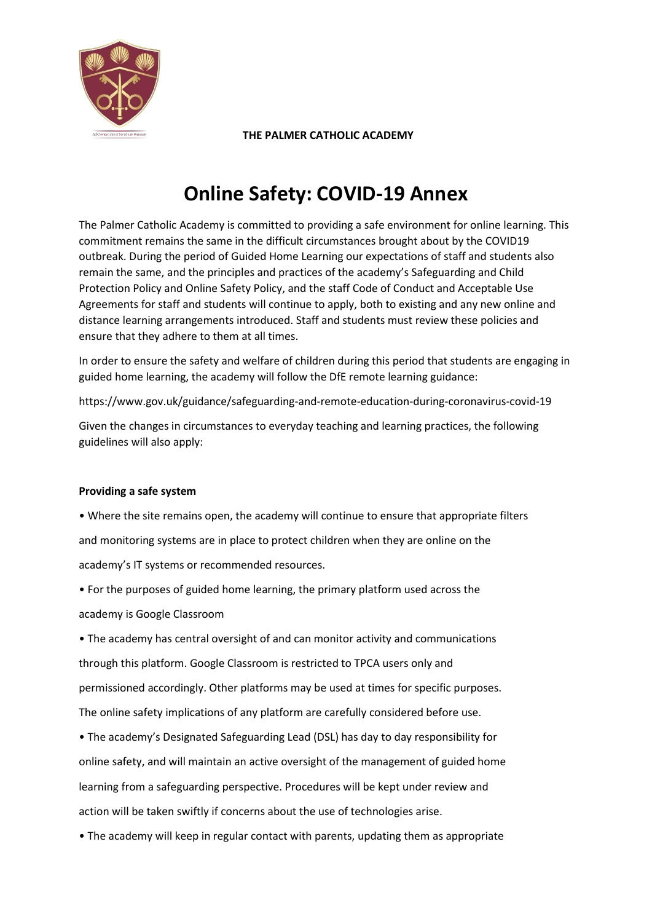

# **Online Safety: COVID-19 Annex**

The Palmer Catholic Academy is committed to providing a safe environment for online learning. This commitment remains the same in the difficult circumstances brought about by the COVID19 outbreak. During the period of Guided Home Learning our expectations of staff and students also remain the same, and the principles and practices of the academy's Safeguarding and Child Protection Policy and Online Safety Policy, and the staff Code of Conduct and Acceptable Use Agreements for staff and students will continue to apply, both to existing and any new online and distance learning arrangements introduced. Staff and students must review these policies and ensure that they adhere to them at all times.

In order to ensure the safety and welfare of children during this period that students are engaging in guided home learning, the academy will follow the DfE remote learning guidance:

https://www.gov.uk/guidance/safeguarding-and-remote-education-during-coronavirus-covid-19

Given the changes in circumstances to everyday teaching and learning practices, the following guidelines will also apply:

## **Providing a safe system**

• Where the site remains open, the academy will continue to ensure that appropriate filters and monitoring systems are in place to protect children when they are online on the academy's IT systems or recommended resources.

• For the purposes of guided home learning, the primary platform used across the academy is Google Classroom

• The academy has central oversight of and can monitor activity and communications through this platform. Google Classroom is restricted to TPCA users only and permissioned accordingly. Other platforms may be used at times for specific purposes. The online safety implications of any platform are carefully considered before use.

• The academy's Designated Safeguarding Lead (DSL) has day to day responsibility for online safety, and will maintain an active oversight of the management of guided home learning from a safeguarding perspective. Procedures will be kept under review and action will be taken swiftly if concerns about the use of technologies arise.

• The academy will keep in regular contact with parents, updating them as appropriate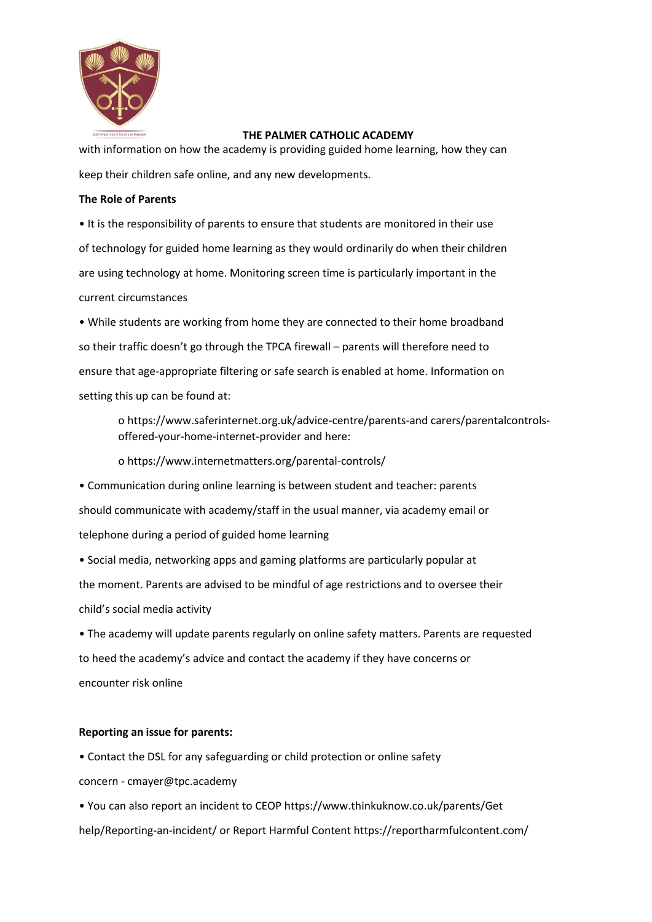

with information on how the academy is providing guided home learning, how they can keep their children safe online, and any new developments.

### **The Role of Parents**

• It is the responsibility of parents to ensure that students are monitored in their use of technology for guided home learning as they would ordinarily do when their children are using technology at home. Monitoring screen time is particularly important in the current circumstances

• While students are working from home they are connected to their home broadband so their traffic doesn't go through the TPCA firewall – parents will therefore need to ensure that age-appropriate filtering or safe search is enabled at home. Information on setting this up can be found at:

o https://www.saferinternet.org.uk/advice-centre/parents-and carers/parentalcontrolsoffered-your-home-internet-provider and here:

o https://www.internetmatters.org/parental-controls/

• Communication during online learning is between student and teacher: parents should communicate with academy/staff in the usual manner, via academy email or telephone during a period of guided home learning

• Social media, networking apps and gaming platforms are particularly popular at the moment. Parents are advised to be mindful of age restrictions and to oversee their child's social media activity

• The academy will update parents regularly on online safety matters. Parents are requested to heed the academy's advice and contact the academy if they have concerns or encounter risk online

## **Reporting an issue for parents:**

• Contact the DSL for any safeguarding or child protection or online safety

concern - cmayer@tpc.academy

• You can also report an incident to CEOP https://www.thinkuknow.co.uk/parents/Get help/Reporting-an-incident/ or Report Harmful Content https://reportharmfulcontent.com/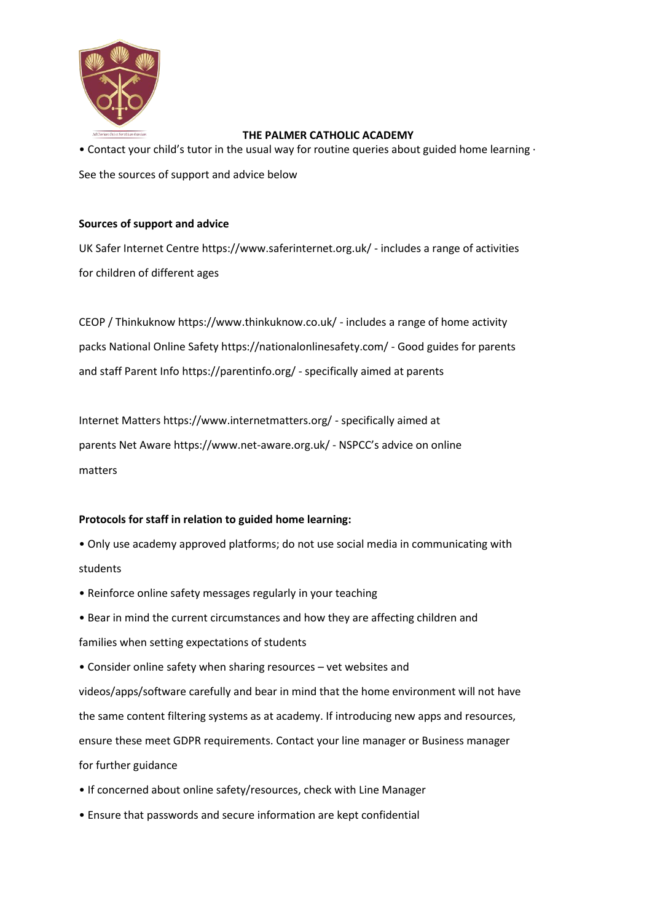

• Contact your child's tutor in the usual way for routine queries about guided home learning ∙ See the sources of support and advice below

### **Sources of support and advice**

UK Safer Internet Centre https://www.saferinternet.org.uk/ - includes a range of activities for children of different ages

CEOP / Thinkuknow https://www.thinkuknow.co.uk/ - includes a range of home activity packs National Online Safety https://nationalonlinesafety.com/ - Good guides for parents and staff Parent Info https://parentinfo.org/ - specifically aimed at parents

Internet Matters https://www.internetmatters.org/ - specifically aimed at parents Net Aware https://www.net-aware.org.uk/ - NSPCC's advice on online matters

## **Protocols for staff in relation to guided home learning:**

- Only use academy approved platforms; do not use social media in communicating with students
- Reinforce online safety messages regularly in your teaching
- Bear in mind the current circumstances and how they are affecting children and families when setting expectations of students
- Consider online safety when sharing resources vet websites and videos/apps/software carefully and bear in mind that the home environment will not have the same content filtering systems as at academy. If introducing new apps and resources, ensure these meet GDPR requirements. Contact your line manager or Business manager for further guidance
- If concerned about online safety/resources, check with Line Manager
- Ensure that passwords and secure information are kept confidential